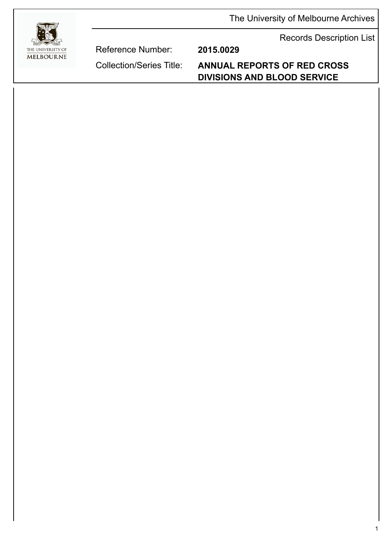The University of Melbourne Archives

Records Description List



Reference Number: **2015.0029**

Collection/Series Title: **ANNUAL REPORTS OF RED CROSS DIVISIONS AND BLOOD SERVICE**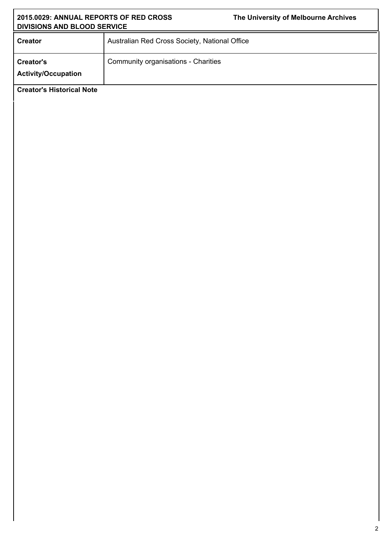| 2015.0029: ANNUAL REPORTS OF RED CROSS<br>DIVISIONS AND BLOOD SERVICE |                                               | The University of Melbourne Archives |  |
|-----------------------------------------------------------------------|-----------------------------------------------|--------------------------------------|--|
| <b>Creator</b>                                                        | Australian Red Cross Society, National Office |                                      |  |
| Creator's<br><b>Activity/Occupation</b>                               | Community organisations - Charities           |                                      |  |
| <b>Creator's Historical Note</b>                                      |                                               |                                      |  |
|                                                                       |                                               |                                      |  |
|                                                                       |                                               |                                      |  |
|                                                                       |                                               |                                      |  |
|                                                                       |                                               |                                      |  |
|                                                                       |                                               |                                      |  |
|                                                                       |                                               |                                      |  |
|                                                                       |                                               |                                      |  |
|                                                                       |                                               |                                      |  |
|                                                                       |                                               |                                      |  |
|                                                                       |                                               |                                      |  |
|                                                                       |                                               |                                      |  |
|                                                                       |                                               |                                      |  |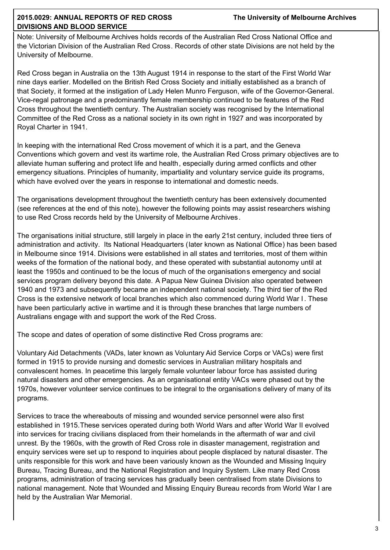Note: University of Melbourne Archives holds records of the Australian Red Cross National Office and the Victorian Division of the Australian Red Cross. Records of other state Divisions are not held by the University of Melbourne.

Red Cross began in Australia on the 13th August 1914 in response to the start of the First World War nine days earlier. Modelled on the British Red Cross Society and initially established as a branch of that Society, it formed at the instigation of Lady Helen Munro Ferguson, wife of the Governor-General. Vice-regal patronage and a predominantly female membership continued to be features of the Red Cross throughout the twentieth century. The Australian society was recognised by the International Committee of the Red Cross as a national society in its own right in 1927 and was incorporated by Royal Charter in 1941.

In keeping with the international Red Cross movement of which it is a part, and the Geneva Conventions which govern and vest its wartime role, the Australian Red Cross primary objectives are to alleviate human suffering and protect life and health, especially during armed conflicts and other emergency situations. Principles of humanity, impartiality and voluntary service guide its programs, which have evolved over the years in response to international and domestic needs.

The organisations development throughout the twentieth century has been extensively documented (see references at the end of this note), however the following points may assist researchers wishing to use Red Cross records held by the University of Melbourne Archives.

The organisations initial structure, still largely in place in the early 21st century, included three tiers of administration and activity. Its National Headquarters (later known as National Office) has been based in Melbourne since 1914. Divisions were established in all states and territories, most of them within weeks of the formation of the national body, and these operated with substantial autonomy until at least the 1950s and continued to be the locus of much of the organisations emergency and social services program delivery beyond this date. A Papua New Guinea Division also operated between 1940 and 1973 and subsequently became an independent national society. The third tier of the Red Cross is the extensive network of local branches which also commenced during World War I . These have been particularly active in wartime and it is through these branches that large numbers of Australians engage with and support the work of the Red Cross.

The scope and dates of operation of some distinctive Red Cross programs are:

Voluntary Aid Detachments (VADs, later known as Voluntary Aid Service Corps or VACs) were first formed in 1915 to provide nursing and domestic services in Australian military hospitals and convalescent homes. In peacetime this largely female volunteer labour force has assisted during natural disasters and other emergencies. As an organisational entity VACs were phased out by the 1970s, however volunteer service continues to be integral to the organisations delivery of many of its programs.

Services to trace the whereabouts of missing and wounded service personnel were also first established in 1915.These services operated during both World Wars and after World War II evolved into services for tracing civilians displaced from their homelands in the aftermath of war and civil unrest. By the 1960s, with the growth of Red Cross role in disaster management, registration and enquiry services were set up to respond to inquiries about people displaced by natural disaster. The units responsible for this work and have been variously known as the Wounded and Missing Inquiry Bureau, Tracing Bureau, and the National Registration and Inquiry System. Like many Red Cross programs, administration of tracing services has gradually been centralised from state Divisions to national management. Note that Wounded and Missing Enquiry Bureau records from World War I are held by the Australian War Memorial.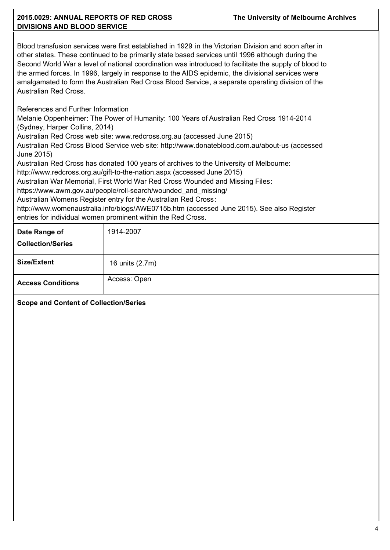## **2015.0029: ANNUAL REPORTS OF RED CROSS DIVISIONS AND BLOOD SERVICE**

Blood transfusion services were first established in 1929 in the Victorian Division and soon after in other states. These continued to be primarily state based services until 1996 although during the Second World War a level of national coordination was introduced to facilitate the supply of blood to the armed forces. In 1996, largely in response to the AIDS epidemic, the divisional services were amalgamated to form the Australian Red Cross Blood Service, a separate operating division of the Australian Red Cross.

References and Further Information

Melanie Oppenheimer: The Power of Humanity: 100 Years of Australian Red Cross 1914-2014 (Sydney, Harper Collins, 2014)

Australian Red Cross web site: www.redcross.org.au (accessed June 2015)

Australian Red Cross Blood Service web site: http://www.donateblood.com.au/about-us (accessed June 2015)

Australian Red Cross has donated 100 years of archives to the University of Melbourne:

http://www.redcross.org.au/gift-to-the-nation.aspx (accessed June 2015)

Australian War Memorial, First World War Red Cross Wounded and Missing Files:

https://www.awm.gov.au/people/roll-search/wounded\_and\_missing/

Australian Womens Register entry for the Australian Red Cross:

http://www.womenaustralia.info/biogs/AWE0715b.htm (accessed June 2015). See also Register entries for individual women prominent within the Red Cross.

| Date Range of<br><b>Collection/Series</b> | 1914-2007       |
|-------------------------------------------|-----------------|
| <b>Size/Extent</b>                        | 16 units (2.7m) |
| <b>Access Conditions</b>                  | Access: Open    |

**Scope and Content of Collection/Series**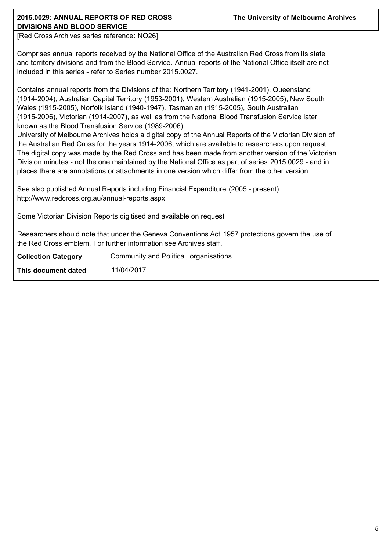[Red Cross Archives series reference: NO26]

Comprises annual reports received by the National Office of the Australian Red Cross from its state and territory divisions and from the Blood Service. Annual reports of the National Office itself are not included in this series - refer to Series number 2015.0027.

Contains annual reports from the Divisions of the: Northern Territory (1941-2001), Queensland (1914-2004), Australian Capital Territory (1953-2001), Western Australian (1915-2005), New South Wales (1915-2005), Norfolk Island (1940-1947). Tasmanian (1915-2005), South Australian (1915-2006), Victorian (1914-2007), as well as from the National Blood Transfusion Service later known as the Blood Transfusion Service (1989-2006).

University of Melbourne Archives holds a digital copy of the Annual Reports of the Victorian Division of the Australian Red Cross for the years 1914-2006, which are available to researchers upon request. The digital copy was made by the Red Cross and has been made from another version of the Victorian Division minutes - not the one maintained by the National Office as part of series 2015.0029 - and in places there are annotations or attachments in one version which differ from the other version .

See also published Annual Reports including Financial Expenditure (2005 - present) http://www.redcross.org.au/annual-reports.aspx

Some Victorian Division Reports digitised and available on request

Researchers should note that under the Geneva Conventions Act 1957 protections govern the use of the Red Cross emblem. For further information see Archives staff.

| <b>Collection Category</b> | Community and Political, organisations |
|----------------------------|----------------------------------------|
| This document dated        | 11/04/2017                             |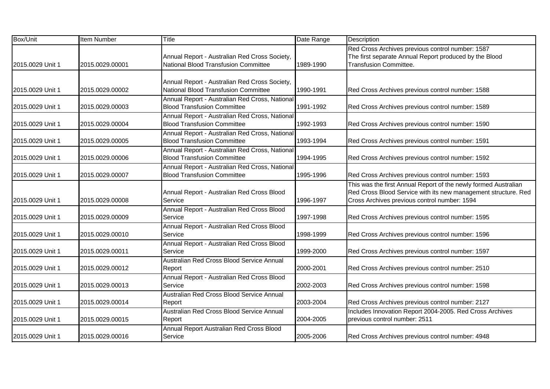| Box/Unit         | <b>Item Number</b> | Title                                                                                 | Date Range | Description                                                                                                                                                                       |
|------------------|--------------------|---------------------------------------------------------------------------------------|------------|-----------------------------------------------------------------------------------------------------------------------------------------------------------------------------------|
| 2015.0029 Unit 1 | 2015.0029.00001    | Annual Report - Australian Red Cross Society,<br>National Blood Transfusion Committee | 1989-1990  | Red Cross Archives previous control number: 1587<br>The first separate Annual Report produced by the Blood<br><b>Transfusion Committee.</b>                                       |
| 2015.0029 Unit 1 | 2015.0029.00002    | Annual Report - Australian Red Cross Society,<br>National Blood Transfusion Committee | 1990-1991  | Red Cross Archives previous control number: 1588                                                                                                                                  |
| 2015.0029 Unit 1 | 2015.0029.00003    | Annual Report - Australian Red Cross, National<br><b>Blood Transfusion Committee</b>  | 1991-1992  | Red Cross Archives previous control number: 1589                                                                                                                                  |
| 2015.0029 Unit 1 | 2015.0029.00004    | Annual Report - Australian Red Cross, National<br><b>Blood Transfusion Committee</b>  | 1992-1993  | Red Cross Archives previous control number: 1590                                                                                                                                  |
| 2015.0029 Unit 1 | 2015.0029.00005    | Annual Report - Australian Red Cross, National<br><b>Blood Transfusion Committee</b>  | 1993-1994  | Red Cross Archives previous control number: 1591                                                                                                                                  |
| 2015.0029 Unit 1 | 2015.0029.00006    | Annual Report - Australian Red Cross, National<br><b>Blood Transfusion Committee</b>  | 1994-1995  | Red Cross Archives previous control number: 1592                                                                                                                                  |
| 2015.0029 Unit 1 | 2015.0029.00007    | Annual Report - Australian Red Cross, National<br><b>Blood Transfusion Committee</b>  | 1995-1996  | Red Cross Archives previous control number: 1593                                                                                                                                  |
| 2015.0029 Unit 1 | 2015.0029.00008    | Annual Report - Australian Red Cross Blood<br>Service                                 | 1996-1997  | This was the first Annual Report of the newly formed Australian<br>Red Cross Blood Service with its new management structure. Red<br>Cross Archives previous control number: 1594 |
| 2015.0029 Unit 1 | 2015.0029.00009    | Annual Report - Australian Red Cross Blood<br>Service                                 | 1997-1998  | Red Cross Archives previous control number: 1595                                                                                                                                  |
| 2015.0029 Unit 1 | 2015.0029.00010    | Annual Report - Australian Red Cross Blood<br>Service                                 | 1998-1999  | Red Cross Archives previous control number: 1596                                                                                                                                  |
| 2015.0029 Unit 1 | 2015.0029.00011    | Annual Report - Australian Red Cross Blood<br>Service                                 | 1999-2000  | Red Cross Archives previous control number: 1597                                                                                                                                  |
| 2015.0029 Unit 1 | 2015.0029.00012    | Australian Red Cross Blood Service Annual<br>Report                                   | 2000-2001  | Red Cross Archives previous control number: 2510                                                                                                                                  |
| 2015.0029 Unit 1 | 2015.0029.00013    | Annual Report - Australian Red Cross Blood<br>Service                                 | 2002-2003  | Red Cross Archives previous control number: 1598                                                                                                                                  |
| 2015.0029 Unit 1 | 2015.0029.00014    | Australian Red Cross Blood Service Annual<br>Report                                   | 2003-2004  | Red Cross Archives previous control number: 2127                                                                                                                                  |
| 2015.0029 Unit 1 | 2015.0029.00015    | Australian Red Cross Blood Service Annual<br>Report                                   | 2004-2005  | Includes Innovation Report 2004-2005. Red Cross Archives<br>previous control number: 2511                                                                                         |
| 2015.0029 Unit 1 | 2015.0029.00016    | Annual Report Australian Red Cross Blood<br>Service                                   | 2005-2006  | Red Cross Archives previous control number: 4948                                                                                                                                  |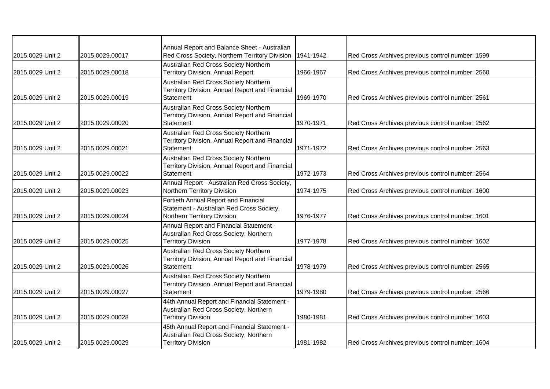|                  |                 | Annual Report and Balance Sheet - Australian    |           |                                                  |
|------------------|-----------------|-------------------------------------------------|-----------|--------------------------------------------------|
| 2015.0029 Unit 2 | 2015.0029.00017 | Red Cross Society, Northern Territory Division  | 1941-1942 | Red Cross Archives previous control number: 1599 |
|                  |                 | Australian Red Cross Society Northern           |           |                                                  |
| 2015.0029 Unit 2 | 2015.0029.00018 | <b>Territory Division, Annual Report</b>        | 1966-1967 | Red Cross Archives previous control number: 2560 |
|                  |                 | Australian Red Cross Society Northern           |           |                                                  |
|                  |                 | Territory Division, Annual Report and Financial |           |                                                  |
| 2015.0029 Unit 2 | 2015.0029.00019 | <b>Statement</b>                                | 1969-1970 | Red Cross Archives previous control number: 2561 |
|                  |                 | Australian Red Cross Society Northern           |           |                                                  |
|                  |                 | Territory Division, Annual Report and Financial |           |                                                  |
| 2015.0029 Unit 2 | 2015.0029.00020 | <b>Statement</b>                                | 1970-1971 | Red Cross Archives previous control number: 2562 |
|                  |                 | Australian Red Cross Society Northern           |           |                                                  |
|                  |                 | Territory Division, Annual Report and Financial |           |                                                  |
| 2015.0029 Unit 2 | 2015.0029.00021 | Statement                                       | 1971-1972 | Red Cross Archives previous control number: 2563 |
|                  |                 | Australian Red Cross Society Northern           |           |                                                  |
|                  |                 | Territory Division, Annual Report and Financial |           |                                                  |
| 2015.0029 Unit 2 | 2015.0029.00022 | <b>Statement</b>                                | 1972-1973 | Red Cross Archives previous control number: 2564 |
|                  |                 | Annual Report - Australian Red Cross Society,   |           |                                                  |
| 2015.0029 Unit 2 | 2015.0029.00023 | Northern Territory Division                     | 1974-1975 | Red Cross Archives previous control number: 1600 |
|                  |                 | Fortieth Annual Report and Financial            |           |                                                  |
|                  |                 | Statement - Australian Red Cross Society,       |           |                                                  |
| 2015.0029 Unit 2 | 2015.0029.00024 | Northern Territory Division                     | 1976-1977 | Red Cross Archives previous control number: 1601 |
|                  |                 | Annual Report and Financial Statement -         |           |                                                  |
|                  |                 | Australian Red Cross Society, Northern          |           |                                                  |
| 2015.0029 Unit 2 | 2015.0029.00025 | <b>Territory Division</b>                       | 1977-1978 | Red Cross Archives previous control number: 1602 |
|                  |                 | Australian Red Cross Society Northern           |           |                                                  |
|                  |                 | Territory Division, Annual Report and Financial |           |                                                  |
| 2015.0029 Unit 2 | 2015.0029.00026 | Statement                                       | 1978-1979 | Red Cross Archives previous control number: 2565 |
|                  |                 | Australian Red Cross Society Northern           |           |                                                  |
|                  |                 | Territory Division, Annual Report and Financial |           |                                                  |
| 2015.0029 Unit 2 | 2015.0029.00027 | Statement                                       | 1979-1980 | Red Cross Archives previous control number: 2566 |
|                  |                 | 44th Annual Report and Financial Statement -    |           |                                                  |
|                  |                 | Australian Red Cross Society, Northern          |           |                                                  |
| 2015.0029 Unit 2 | 2015.0029.00028 | <b>Territory Division</b>                       | 1980-1981 | Red Cross Archives previous control number: 1603 |
|                  |                 | 45th Annual Report and Financial Statement -    |           |                                                  |
|                  |                 | Australian Red Cross Society, Northern          |           |                                                  |
| 2015.0029 Unit 2 | 2015.0029.00029 | <b>Territory Division</b>                       | 1981-1982 | Red Cross Archives previous control number: 1604 |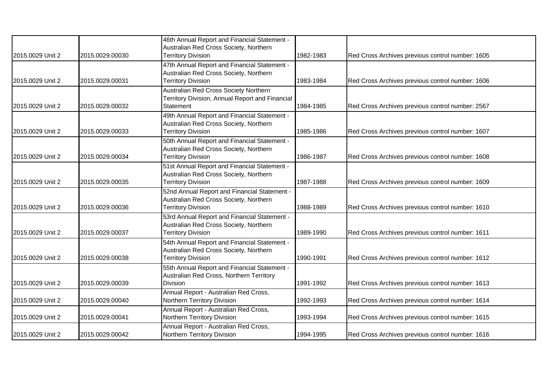| 2015.0029 Unit 2 | 2015.0029.00030 | 46th Annual Report and Financial Statement -<br>Australian Red Cross Society, Northern<br><b>Territory Division</b> | 1982-1983 | Red Cross Archives previous control number: 1605 |
|------------------|-----------------|---------------------------------------------------------------------------------------------------------------------|-----------|--------------------------------------------------|
|                  |                 | 47th Annual Report and Financial Statement -                                                                        |           |                                                  |
| 2015.0029 Unit 2 | 2015.0029.00031 | Australian Red Cross Society, Northern<br><b>Territory Division</b>                                                 | 1983-1984 | Red Cross Archives previous control number: 1606 |
| 2015.0029 Unit 2 | 2015.0029.00032 | Australian Red Cross Society Northern<br>Territory Division, Annual Report and Financial<br>Statement               | 1984-1985 | Red Cross Archives previous control number: 2567 |
| 2015.0029 Unit 2 | 2015.0029.00033 | 49th Annual Report and Financial Statement -<br>Australian Red Cross Society, Northern<br><b>Territory Division</b> | 1985-1986 | Red Cross Archives previous control number: 1607 |
| 2015.0029 Unit 2 | 2015.0029.00034 | 50th Annual Report and Financial Statement -<br>Australian Red Cross Society, Northern<br><b>Territory Division</b> | 1986-1987 | Red Cross Archives previous control number: 1608 |
| 2015.0029 Unit 2 | 2015.0029.00035 | 51st Annual Report and Financial Statement -<br>Australian Red Cross Society, Northern<br><b>Territory Division</b> | 1987-1988 | Red Cross Archives previous control number: 1609 |
| 2015.0029 Unit 2 | 2015.0029.00036 | 52nd Annual Report and Financial Statement -<br>Australian Red Cross Society, Northern<br><b>Territory Division</b> | 1988-1989 | Red Cross Archives previous control number: 1610 |
| 2015.0029 Unit 2 | 2015.0029.00037 | 53rd Annual Report and Financial Statement -<br>Australian Red Cross Society, Northern<br><b>Territory Division</b> | 1989-1990 | Red Cross Archives previous control number: 1611 |
| 2015.0029 Unit 2 | 2015.0029.00038 | 54th Annual Report and Financial Statement -<br>Australian Red Cross Society, Northern<br><b>Territory Division</b> | 1990-1991 | Red Cross Archives previous control number: 1612 |
| 2015.0029 Unit 2 | 2015.0029.00039 | 55th Annual Report and Financial Statement -<br>Australian Red Cross, Northern Territory<br><b>Division</b>         | 1991-1992 | Red Cross Archives previous control number: 1613 |
| 2015.0029 Unit 2 | 2015.0029.00040 | Annual Report - Australian Red Cross,<br>Northern Territory Division                                                | 1992-1993 | Red Cross Archives previous control number: 1614 |
| 2015.0029 Unit 2 | 2015.0029.00041 | Annual Report - Australian Red Cross,<br>Northern Territory Division                                                | 1993-1994 | Red Cross Archives previous control number: 1615 |
| 2015.0029 Unit 2 | 2015.0029.00042 | Annual Report - Australian Red Cross,<br>Northern Territory Division                                                | 1994-1995 | Red Cross Archives previous control number: 1616 |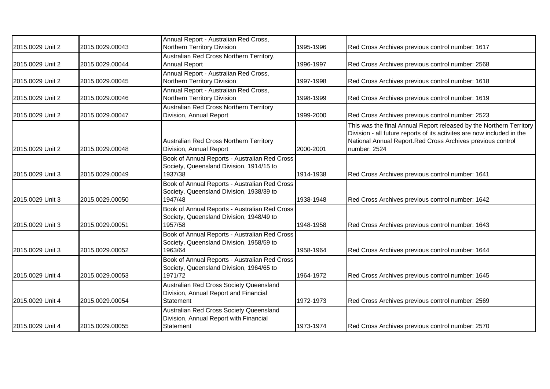| 2015.0029 Unit 2 | 2015.0029.00043 | Annual Report - Australian Red Cross,<br>Northern Territory Division                                 | 1995-1996 | Red Cross Archives previous control number: 1617                                                                                                                                                                            |
|------------------|-----------------|------------------------------------------------------------------------------------------------------|-----------|-----------------------------------------------------------------------------------------------------------------------------------------------------------------------------------------------------------------------------|
|                  |                 |                                                                                                      |           |                                                                                                                                                                                                                             |
| 2015.0029 Unit 2 | 2015.0029.00044 | Australian Red Cross Northern Territory,<br><b>Annual Report</b>                                     | 1996-1997 | Red Cross Archives previous control number: 2568                                                                                                                                                                            |
| 2015.0029 Unit 2 | 2015.0029.00045 | Annual Report - Australian Red Cross,<br>Northern Territory Division                                 | 1997-1998 | Red Cross Archives previous control number: 1618                                                                                                                                                                            |
| 2015.0029 Unit 2 | 2015.0029.00046 | Annual Report - Australian Red Cross,<br>Northern Territory Division                                 | 1998-1999 | Red Cross Archives previous control number: 1619                                                                                                                                                                            |
| 2015.0029 Unit 2 | 2015.0029.00047 | <b>Australian Red Cross Northern Territory</b><br>Division, Annual Report                            | 1999-2000 | Red Cross Archives previous control number: 2523                                                                                                                                                                            |
| 2015.0029 Unit 2 | 2015.0029.00048 | Australian Red Cross Northern Territory<br>Division, Annual Report                                   | 2000-2001 | This was the final Annual Report released by the Northern Territory<br>Division - all future reports of its activites are now included in the<br>National Annual Report.Red Cross Archives previous control<br>number: 2524 |
| 2015.0029 Unit 3 | 2015.0029.00049 | Book of Annual Reports - Australian Red Cross<br>Society, Queensland Division, 1914/15 to<br>1937/38 | 1914-1938 | Red Cross Archives previous control number: 1641                                                                                                                                                                            |
| 2015.0029 Unit 3 | 2015.0029.00050 | Book of Annual Reports - Australian Red Cross<br>Society, Queensland Division, 1938/39 to<br>1947/48 | 1938-1948 | Red Cross Archives previous control number: 1642                                                                                                                                                                            |
| 2015.0029 Unit 3 | 2015.0029.00051 | Book of Annual Reports - Australian Red Cross<br>Society, Queensland Division, 1948/49 to<br>1957/58 | 1948-1958 | Red Cross Archives previous control number: 1643                                                                                                                                                                            |
| 2015.0029 Unit 3 | 2015.0029.00052 | Book of Annual Reports - Australian Red Cross<br>Society, Queensland Division, 1958/59 to<br>1963/64 | 1958-1964 | Red Cross Archives previous control number: 1644                                                                                                                                                                            |
| 2015.0029 Unit 4 | 2015.0029.00053 | Book of Annual Reports - Australian Red Cross<br>Society, Queensland Division, 1964/65 to<br>1971/72 | 1964-1972 | Red Cross Archives previous control number: 1645                                                                                                                                                                            |
| 2015.0029 Unit 4 | 2015.0029.00054 | Australian Red Cross Society Queensland<br>Division, Annual Report and Financial<br>Statement        | 1972-1973 | Red Cross Archives previous control number: 2569                                                                                                                                                                            |
| 2015.0029 Unit 4 | 2015.0029.00055 | Australian Red Cross Society Queensland<br>Division, Annual Report with Financial<br>Statement       | 1973-1974 | Red Cross Archives previous control number: 2570                                                                                                                                                                            |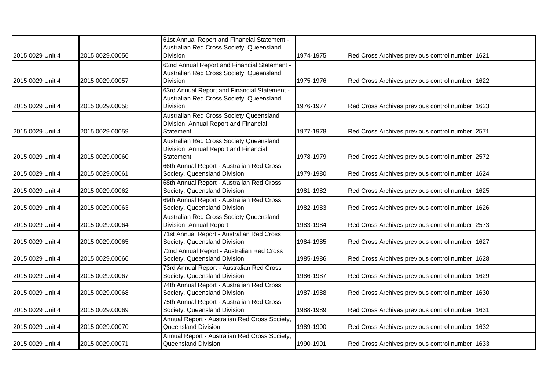|                  |                 | 61st Annual Report and Financial Statement -                                                                |           |                                                  |
|------------------|-----------------|-------------------------------------------------------------------------------------------------------------|-----------|--------------------------------------------------|
| 2015.0029 Unit 4 | 2015.0029.00056 | Australian Red Cross Society, Queensland<br><b>Division</b>                                                 | 1974-1975 | Red Cross Archives previous control number: 1621 |
| 2015.0029 Unit 4 | 2015.0029.00057 | 62nd Annual Report and Financial Statement -<br>Australian Red Cross Society, Queensland<br>Division        | 1975-1976 | Red Cross Archives previous control number: 1622 |
| 2015.0029 Unit 4 | 2015.0029.00058 | 63rd Annual Report and Financial Statement -<br>Australian Red Cross Society, Queensland<br><b>Division</b> | 1976-1977 | Red Cross Archives previous control number: 1623 |
| 2015.0029 Unit 4 | 2015.0029.00059 | Australian Red Cross Society Queensland<br>Division, Annual Report and Financial<br>Statement               | 1977-1978 | Red Cross Archives previous control number: 2571 |
| 2015.0029 Unit 4 | 2015.0029.00060 | Australian Red Cross Society Queensland<br>Division, Annual Report and Financial<br>Statement               | 1978-1979 | Red Cross Archives previous control number: 2572 |
| 2015.0029 Unit 4 | 2015.0029.00061 | 66th Annual Report - Australian Red Cross<br>Society, Queensland Division                                   | 1979-1980 | Red Cross Archives previous control number: 1624 |
| 2015.0029 Unit 4 | 2015.0029.00062 | 68th Annual Report - Australian Red Cross<br>Society, Queensland Division                                   | 1981-1982 | Red Cross Archives previous control number: 1625 |
| 2015.0029 Unit 4 | 2015.0029.00063 | 69th Annual Report - Australian Red Cross<br>Society, Queensland Division                                   | 1982-1983 | Red Cross Archives previous control number: 1626 |
| 2015.0029 Unit 4 | 2015.0029.00064 | Australian Red Cross Society Queensland<br>Division, Annual Report                                          | 1983-1984 | Red Cross Archives previous control number: 2573 |
| 2015.0029 Unit 4 | 2015.0029.00065 | 71st Annual Report - Australian Red Cross<br>Society, Queensland Division                                   | 1984-1985 | Red Cross Archives previous control number: 1627 |
| 2015.0029 Unit 4 | 2015.0029.00066 | 72nd Annual Report - Australian Red Cross<br>Society, Queensland Division                                   | 1985-1986 | Red Cross Archives previous control number: 1628 |
| 2015.0029 Unit 4 | 2015.0029.00067 | 73rd Annual Report - Australian Red Cross<br>Society, Queensland Division                                   | 1986-1987 | Red Cross Archives previous control number: 1629 |
| 2015.0029 Unit 4 | 2015.0029.00068 | 74th Annual Report - Australian Red Cross<br>Society, Queensland Division                                   | 1987-1988 | Red Cross Archives previous control number: 1630 |
| 2015.0029 Unit 4 | 2015.0029.00069 | 75th Annual Report - Australian Red Cross<br>Society, Queensland Division                                   | 1988-1989 | Red Cross Archives previous control number: 1631 |
| 2015.0029 Unit 4 | 2015.0029.00070 | Annual Report - Australian Red Cross Society,<br>Queensland Division                                        | 1989-1990 | Red Cross Archives previous control number: 1632 |
| 2015.0029 Unit 4 | 2015.0029.00071 | Annual Report - Australian Red Cross Society,<br>Queensland Division                                        | 1990-1991 | Red Cross Archives previous control number: 1633 |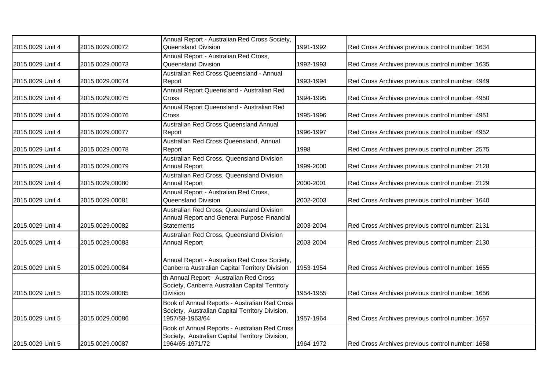| 2015.0029 Unit 4 | 2015.0029.00072 | Annual Report - Australian Red Cross Society,<br>Queensland Division                                                | 1991-1992 | Red Cross Archives previous control number: 1634 |
|------------------|-----------------|---------------------------------------------------------------------------------------------------------------------|-----------|--------------------------------------------------|
| 2015.0029 Unit 4 | 2015.0029.00073 | Annual Report - Australian Red Cross,<br>Queensland Division                                                        | 1992-1993 | Red Cross Archives previous control number: 1635 |
| 2015.0029 Unit 4 | 2015.0029.00074 | Australian Red Cross Queensland - Annual<br>Report                                                                  | 1993-1994 | Red Cross Archives previous control number: 4949 |
| 2015.0029 Unit 4 | 2015.0029.00075 | Annual Report Queensland - Australian Red<br>Cross                                                                  | 1994-1995 | Red Cross Archives previous control number: 4950 |
| 2015.0029 Unit 4 | 2015.0029.00076 | Annual Report Queensland - Australian Red<br>Cross                                                                  | 1995-1996 | Red Cross Archives previous control number: 4951 |
| 2015.0029 Unit 4 | 2015.0029.00077 | Australian Red Cross Queensland Annual<br>Report                                                                    | 1996-1997 | Red Cross Archives previous control number: 4952 |
| 2015.0029 Unit 4 | 2015.0029.00078 | Australian Red Cross Queensland, Annual<br>Report                                                                   | 1998      | Red Cross Archives previous control number: 2575 |
| 2015.0029 Unit 4 | 2015.0029.00079 | Australian Red Cross, Queensland Division<br>Annual Report                                                          | 1999-2000 | Red Cross Archives previous control number: 2128 |
| 2015.0029 Unit 4 | 2015.0029.00080 | Australian Red Cross, Queensland Division<br>Annual Report                                                          | 2000-2001 | Red Cross Archives previous control number: 2129 |
| 2015.0029 Unit 4 | 2015.0029.00081 | Annual Report - Australian Red Cross,<br>Queensland Division                                                        | 2002-2003 | Red Cross Archives previous control number: 1640 |
| 2015.0029 Unit 4 | 2015.0029.00082 | Australian Red Cross, Queensland Division<br>Annual Report and General Purpose Financial<br><b>Statements</b>       | 2003-2004 | Red Cross Archives previous control number: 2131 |
| 2015.0029 Unit 4 | 2015.0029.00083 | Australian Red Cross, Queensland Division<br>Annual Report                                                          | 2003-2004 | Red Cross Archives previous control number: 2130 |
| 2015.0029 Unit 5 | 2015.0029.00084 | Annual Report - Australian Red Cross Society,<br>Canberra Australian Capital Territory Division                     | 1953-1954 | Red Cross Archives previous control number: 1655 |
| 2015.0029 Unit 5 | 2015.0029.00085 | th Annual Report - Australian Red Cross<br>Society, Canberra Australian Capital Territory<br><b>Division</b>        | 1954-1955 | Red Cross Archives previous control number: 1656 |
| 2015.0029 Unit 5 | 2015.0029.00086 | Book of Annual Reports - Australian Red Cross<br>Society, Australian Capital Territory Division,<br>1957/58-1963/64 | 1957-1964 | Red Cross Archives previous control number: 1657 |
| 2015.0029 Unit 5 | 2015.0029.00087 | Book of Annual Reports - Australian Red Cross<br>Society, Australian Capital Territory Division,<br>1964/65-1971/72 | 1964-1972 | Red Cross Archives previous control number: 1658 |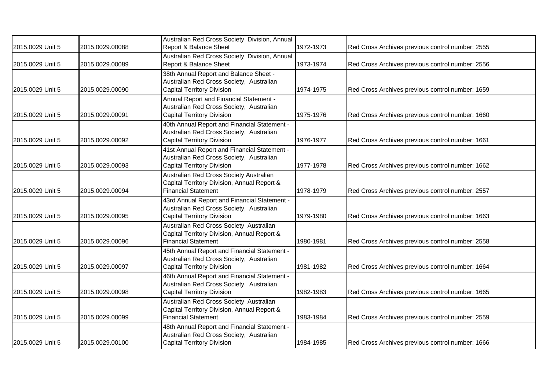| 2015.0029 Unit 5 | 2015.0029.00088 | Australian Red Cross Society Division, Annual<br>Report & Balance Sheet                                                 | 1972-1973 | Red Cross Archives previous control number: 2555 |
|------------------|-----------------|-------------------------------------------------------------------------------------------------------------------------|-----------|--------------------------------------------------|
|                  |                 |                                                                                                                         |           |                                                  |
| 2015.0029 Unit 5 | 2015.0029.00089 | Australian Red Cross Society Division, Annual<br>Report & Balance Sheet                                                 | 1973-1974 | Red Cross Archives previous control number: 2556 |
| 2015.0029 Unit 5 | 2015.0029.00090 | 38th Annual Report and Balance Sheet -<br>Australian Red Cross Society, Australian<br><b>Capital Territory Division</b> | 1974-1975 | Red Cross Archives previous control number: 1659 |
| 2015.0029 Unit 5 | 2015.0029.00091 | Annual Report and Financial Statement -<br>Australian Red Cross Society, Australian<br>Capital Territory Division       | 1975-1976 | Red Cross Archives previous control number: 1660 |
| 2015.0029 Unit 5 | 2015.0029.00092 | 40th Annual Report and Financial Statement -<br>Australian Red Cross Society, Australian<br>Capital Territory Division  | 1976-1977 | Red Cross Archives previous control number: 1661 |
| 2015.0029 Unit 5 | 2015.0029.00093 | 41st Annual Report and Financial Statement -<br>Australian Red Cross Society, Australian<br>Capital Territory Division  | 1977-1978 | Red Cross Archives previous control number: 1662 |
| 2015.0029 Unit 5 | 2015.0029.00094 | Australian Red Cross Society Australian<br>Capital Territory Division, Annual Report &<br><b>Financial Statement</b>    | 1978-1979 | Red Cross Archives previous control number: 2557 |
| 2015.0029 Unit 5 | 2015.0029.00095 | 43rd Annual Report and Financial Statement -<br>Australian Red Cross Society, Australian<br>Capital Territory Division  | 1979-1980 | Red Cross Archives previous control number: 1663 |
| 2015.0029 Unit 5 | 2015.0029.00096 | Australian Red Cross Society Australian<br>Capital Territory Division, Annual Report &<br><b>Financial Statement</b>    | 1980-1981 | Red Cross Archives previous control number: 2558 |
| 2015.0029 Unit 5 | 2015.0029.00097 | 45th Annual Report and Financial Statement -<br>Australian Red Cross Society, Australian<br>Capital Territory Division  | 1981-1982 | Red Cross Archives previous control number: 1664 |
| 2015.0029 Unit 5 | 2015.0029.00098 | 46th Annual Report and Financial Statement -<br>Australian Red Cross Society, Australian<br>Capital Territory Division  | 1982-1983 | Red Cross Archives previous control number: 1665 |
| 2015.0029 Unit 5 | 2015.0029.00099 | Australian Red Cross Society Australian<br>Capital Territory Division, Annual Report &<br><b>Financial Statement</b>    | 1983-1984 | Red Cross Archives previous control number: 2559 |
| 2015.0029 Unit 5 | 2015.0029.00100 | 48th Annual Report and Financial Statement -<br>Australian Red Cross Society, Australian<br>Capital Territory Division  | 1984-1985 | Red Cross Archives previous control number: 1666 |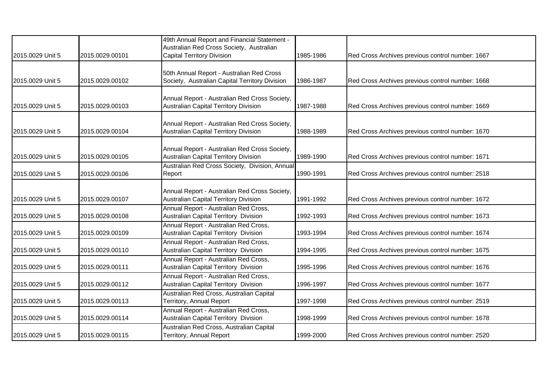| 2015.0029 Unit 5 | 2015.0029.00101 | 49th Annual Report and Financial Statement -<br>Australian Red Cross Society, Australian<br><b>Capital Territory Division</b> | 1985-1986 | Red Cross Archives previous control number: 1667 |
|------------------|-----------------|-------------------------------------------------------------------------------------------------------------------------------|-----------|--------------------------------------------------|
| 2015.0029 Unit 5 | 2015.0029.00102 | 50th Annual Report - Australian Red Cross<br>Society, Australian Capital Territory Division                                   | 1986-1987 | Red Cross Archives previous control number: 1668 |
| 2015.0029 Unit 5 | 2015.0029.00103 | Annual Report - Australian Red Cross Society,<br><b>Australian Capital Territory Division</b>                                 | 1987-1988 | Red Cross Archives previous control number: 1669 |
| 2015.0029 Unit 5 | 2015.0029.00104 | Annual Report - Australian Red Cross Society,<br><b>Australian Capital Territory Division</b>                                 | 1988-1989 | Red Cross Archives previous control number: 1670 |
| 2015.0029 Unit 5 | 2015.0029.00105 | Annual Report - Australian Red Cross Society,<br><b>Australian Capital Territory Division</b>                                 | 1989-1990 | Red Cross Archives previous control number: 1671 |
| 2015.0029 Unit 5 | 2015.0029.00106 | Australian Red Cross Society, Division, Annual<br>Report                                                                      | 1990-1991 | Red Cross Archives previous control number: 2518 |
| 2015.0029 Unit 5 | 2015.0029.00107 | Annual Report - Australian Red Cross Society,<br><b>Australian Capital Territory Division</b>                                 | 1991-1992 | Red Cross Archives previous control number: 1672 |
| 2015.0029 Unit 5 | 2015.0029.00108 | Annual Report - Australian Red Cross,<br>Australian Capital Territory Division                                                | 1992-1993 | Red Cross Archives previous control number: 1673 |
| 2015.0029 Unit 5 | 2015.0029.00109 | Annual Report - Australian Red Cross,<br>Australian Capital Territory Division                                                | 1993-1994 | Red Cross Archives previous control number: 1674 |
| 2015.0029 Unit 5 | 2015.0029.00110 | Annual Report - Australian Red Cross,<br>Australian Capital Territory Division                                                | 1994-1995 | Red Cross Archives previous control number: 1675 |
| 2015.0029 Unit 5 | 2015.0029.00111 | Annual Report - Australian Red Cross,<br>Australian Capital Territory Division                                                | 1995-1996 | Red Cross Archives previous control number: 1676 |
| 2015.0029 Unit 5 | 2015.0029.00112 | Annual Report - Australian Red Cross,<br><b>Australian Capital Territory Division</b>                                         | 1996-1997 | Red Cross Archives previous control number: 1677 |
| 2015.0029 Unit 5 | 2015.0029.00113 | Australian Red Cross, Australian Capital<br>Territory, Annual Report                                                          | 1997-1998 | Red Cross Archives previous control number: 2519 |
| 2015.0029 Unit 5 | 2015.0029.00114 | Annual Report - Australian Red Cross,<br>Australian Capital Territory Division                                                | 1998-1999 | Red Cross Archives previous control number: 1678 |
| 2015.0029 Unit 5 | 2015.0029.00115 | Australian Red Cross, Australian Capital<br>Territory, Annual Report                                                          | 1999-2000 | Red Cross Archives previous control number: 2520 |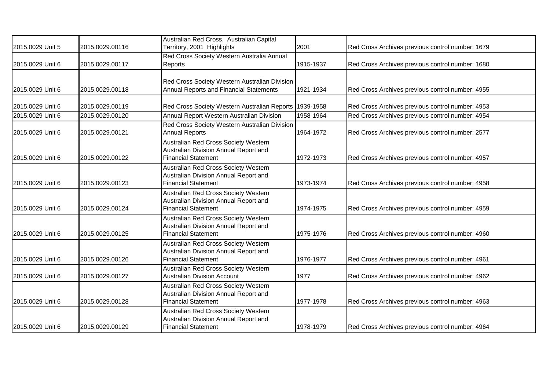|                  |                 | Australian Red Cross, Australian Capital                                      |           |                                                  |
|------------------|-----------------|-------------------------------------------------------------------------------|-----------|--------------------------------------------------|
| 2015.0029 Unit 5 | 2015.0029.00116 | Territory, 2001 Highlights                                                    | 2001      | Red Cross Archives previous control number: 1679 |
|                  |                 | Red Cross Society Western Australia Annual                                    |           |                                                  |
| 2015.0029 Unit 6 | 2015.0029.00117 | Reports                                                                       | 1915-1937 | Red Cross Archives previous control number: 1680 |
|                  |                 |                                                                               |           |                                                  |
|                  |                 | Red Cross Society Western Australian Division                                 |           |                                                  |
| 2015.0029 Unit 6 | 2015.0029.00118 | Annual Reports and Financial Statements                                       | 1921-1934 | Red Cross Archives previous control number: 4955 |
| 2015.0029 Unit 6 | 2015.0029.00119 | Red Cross Society Western Australian Reports 1939-1958                        |           | Red Cross Archives previous control number: 4953 |
| 2015.0029 Unit 6 | 2015.0029.00120 | Annual Report Western Australian Division                                     | 1958-1964 | Red Cross Archives previous control number: 4954 |
|                  |                 | Red Cross Society Western Australian Division                                 |           |                                                  |
| 2015.0029 Unit 6 | 2015.0029.00121 | <b>Annual Reports</b>                                                         | 1964-1972 | Red Cross Archives previous control number: 2577 |
|                  |                 | Australian Red Cross Society Western                                          |           |                                                  |
|                  |                 | Australian Division Annual Report and                                         |           |                                                  |
| 2015.0029 Unit 6 | 2015.0029.00122 | <b>Financial Statement</b>                                                    | 1972-1973 | Red Cross Archives previous control number: 4957 |
|                  |                 | Australian Red Cross Society Western                                          |           |                                                  |
|                  |                 | Australian Division Annual Report and                                         |           |                                                  |
| 2015.0029 Unit 6 | 2015.0029.00123 | <b>Financial Statement</b>                                                    | 1973-1974 | Red Cross Archives previous control number: 4958 |
|                  |                 | Australian Red Cross Society Western                                          |           |                                                  |
| 2015.0029 Unit 6 | 2015.0029.00124 | Australian Division Annual Report and<br><b>Financial Statement</b>           | 1974-1975 | Red Cross Archives previous control number: 4959 |
|                  |                 |                                                                               |           |                                                  |
|                  |                 | Australian Red Cross Society Western<br>Australian Division Annual Report and |           |                                                  |
| 2015.0029 Unit 6 | 2015.0029.00125 | <b>Financial Statement</b>                                                    | 1975-1976 | Red Cross Archives previous control number: 4960 |
|                  |                 | Australian Red Cross Society Western                                          |           |                                                  |
|                  |                 | Australian Division Annual Report and                                         |           |                                                  |
| 2015.0029 Unit 6 | 2015.0029.00126 | <b>Financial Statement</b>                                                    | 1976-1977 | Red Cross Archives previous control number: 4961 |
|                  |                 | Australian Red Cross Society Western                                          |           |                                                  |
| 2015.0029 Unit 6 | 2015.0029.00127 | <b>Australian Division Account</b>                                            | 1977      | Red Cross Archives previous control number: 4962 |
|                  |                 | Australian Red Cross Society Western                                          |           |                                                  |
|                  |                 | Australian Division Annual Report and                                         |           |                                                  |
| 2015.0029 Unit 6 | 2015.0029.00128 | <b>Financial Statement</b>                                                    | 1977-1978 | Red Cross Archives previous control number: 4963 |
|                  |                 | Australian Red Cross Society Western                                          |           |                                                  |
|                  |                 | Australian Division Annual Report and                                         |           |                                                  |
| 2015.0029 Unit 6 | 2015.0029.00129 | <b>Financial Statement</b>                                                    | 1978-1979 | Red Cross Archives previous control number: 4964 |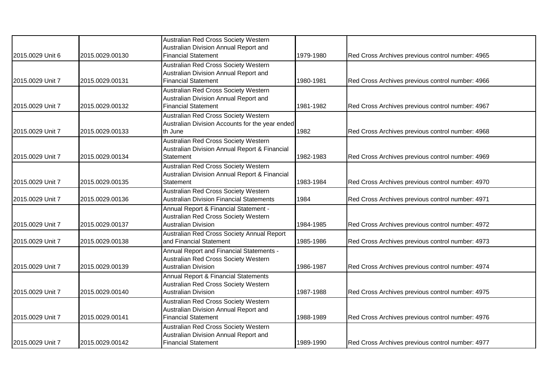|                  |                 | Australian Red Cross Society Western                                                    |           |                                                  |
|------------------|-----------------|-----------------------------------------------------------------------------------------|-----------|--------------------------------------------------|
| 2015.0029 Unit 6 | 2015.0029.00130 | Australian Division Annual Report and<br><b>Financial Statement</b>                     | 1979-1980 | Red Cross Archives previous control number: 4965 |
|                  |                 | Australian Red Cross Society Western                                                    |           |                                                  |
|                  |                 | Australian Division Annual Report and                                                   |           |                                                  |
| 2015.0029 Unit 7 | 2015.0029.00131 | <b>Financial Statement</b>                                                              | 1980-1981 | Red Cross Archives previous control number: 4966 |
|                  |                 | Australian Red Cross Society Western                                                    |           |                                                  |
|                  |                 | Australian Division Annual Report and<br><b>Financial Statement</b>                     | 1981-1982 |                                                  |
| 2015.0029 Unit 7 | 2015.0029.00132 |                                                                                         |           | Red Cross Archives previous control number: 4967 |
|                  |                 | Australian Red Cross Society Western<br>Australian Division Accounts for the year ended |           |                                                  |
| 2015.0029 Unit 7 | 2015.0029.00133 | th June                                                                                 | 1982      | Red Cross Archives previous control number: 4968 |
|                  |                 | Australian Red Cross Society Western                                                    |           |                                                  |
|                  |                 | Australian Division Annual Report & Financial                                           |           |                                                  |
| 2015.0029 Unit 7 | 2015.0029.00134 | Statement                                                                               | 1982-1983 | Red Cross Archives previous control number: 4969 |
|                  |                 | Australian Red Cross Society Western                                                    |           |                                                  |
|                  |                 | Australian Division Annual Report & Financial                                           |           |                                                  |
| 2015.0029 Unit 7 | 2015.0029.00135 | Statement                                                                               | 1983-1984 | Red Cross Archives previous control number: 4970 |
|                  |                 | Australian Red Cross Society Western                                                    |           |                                                  |
| 2015.0029 Unit 7 | 2015.0029.00136 | <b>Australian Division Financial Statements</b>                                         | 1984      | Red Cross Archives previous control number: 4971 |
|                  |                 | Annual Report & Financial Statement -                                                   |           |                                                  |
|                  |                 | Australian Red Cross Society Western                                                    |           |                                                  |
| 2015.0029 Unit 7 | 2015.0029.00137 | <b>Australian Division</b>                                                              | 1984-1985 | Red Cross Archives previous control number: 4972 |
| 2015.0029 Unit 7 | 2015.0029.00138 | Australian Red Cross Society Annual Report<br>and Financial Statement                   | 1985-1986 | Red Cross Archives previous control number: 4973 |
|                  |                 | Annual Report and Financial Statements -                                                |           |                                                  |
|                  |                 | Australian Red Cross Society Western                                                    |           |                                                  |
| 2015.0029 Unit 7 | 2015.0029.00139 | <b>Australian Division</b>                                                              | 1986-1987 | Red Cross Archives previous control number: 4974 |
|                  |                 | Annual Report & Financial Statements                                                    |           |                                                  |
|                  |                 | Australian Red Cross Society Western                                                    |           |                                                  |
| 2015.0029 Unit 7 | 2015.0029.00140 | <b>Australian Division</b>                                                              | 1987-1988 | Red Cross Archives previous control number: 4975 |
|                  |                 | Australian Red Cross Society Western                                                    |           |                                                  |
|                  |                 | Australian Division Annual Report and                                                   |           |                                                  |
| 2015.0029 Unit 7 | 2015.0029.00141 | <b>Financial Statement</b>                                                              | 1988-1989 | Red Cross Archives previous control number: 4976 |
|                  |                 | Australian Red Cross Society Western                                                    |           |                                                  |
|                  |                 | Australian Division Annual Report and                                                   |           |                                                  |
| 2015.0029 Unit 7 | 2015.0029.00142 | <b>Financial Statement</b>                                                              | 1989-1990 | Red Cross Archives previous control number: 4977 |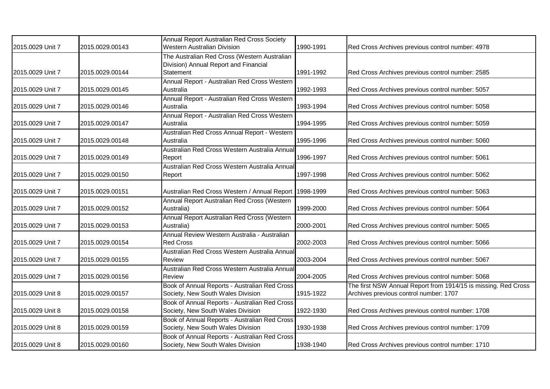| 2015.0029 Unit 7 | 2015.0029.00143 | Annual Report Australian Red Cross Society<br><b>Western Australian Division</b>      | 1990-1991 | Red Cross Archives previous control number: 4978                                                         |
|------------------|-----------------|---------------------------------------------------------------------------------------|-----------|----------------------------------------------------------------------------------------------------------|
|                  |                 | The Australian Red Cross (Western Australian<br>Division) Annual Report and Financial |           |                                                                                                          |
| 2015.0029 Unit 7 | 2015.0029.00144 | Statement                                                                             | 1991-1992 | Red Cross Archives previous control number: 2585                                                         |
| 2015.0029 Unit 7 | 2015.0029.00145 | Annual Report - Australian Red Cross Western<br>Australia                             | 1992-1993 | Red Cross Archives previous control number: 5057                                                         |
| 2015.0029 Unit 7 | 2015.0029.00146 | Annual Report - Australian Red Cross Western<br>Australia                             | 1993-1994 | Red Cross Archives previous control number: 5058                                                         |
| 2015.0029 Unit 7 | 2015.0029.00147 | Annual Report - Australian Red Cross Western<br>Australia                             | 1994-1995 | Red Cross Archives previous control number: 5059                                                         |
| 2015.0029 Unit 7 | 2015.0029.00148 | Australian Red Cross Annual Report - Western<br>Australia                             | 1995-1996 | Red Cross Archives previous control number: 5060                                                         |
| 2015.0029 Unit 7 | 2015.0029.00149 | Australian Red Cross Western Australia Annual<br>Report                               | 1996-1997 | Red Cross Archives previous control number: 5061                                                         |
| 2015.0029 Unit 7 | 2015.0029.00150 | Australian Red Cross Western Australia Annual<br>Report                               | 1997-1998 | Red Cross Archives previous control number: 5062                                                         |
| 2015.0029 Unit 7 | 2015.0029.00151 | Australian Red Cross Western / Annual Report   1998-1999                              |           | Red Cross Archives previous control number: 5063                                                         |
| 2015.0029 Unit 7 | 2015.0029.00152 | Annual Report Australian Red Cross (Western<br>Australia)                             | 1999-2000 | Red Cross Archives previous control number: 5064                                                         |
| 2015.0029 Unit 7 | 2015.0029.00153 | Annual Report Australian Red Cross (Western<br>Australia)                             | 2000-2001 | Red Cross Archives previous control number: 5065                                                         |
| 2015.0029 Unit 7 | 2015.0029.00154 | Annual Review Western Australia - Australian<br><b>Red Cross</b>                      | 2002-2003 | Red Cross Archives previous control number: 5066                                                         |
| 2015.0029 Unit 7 | 2015.0029.00155 | Australian Red Cross Western Australia Annual<br>Review                               | 2003-2004 | Red Cross Archives previous control number: 5067                                                         |
| 2015.0029 Unit 7 | 2015.0029.00156 | Australian Red Cross Western Australia Annual<br>Review                               | 2004-2005 | Red Cross Archives previous control number: 5068                                                         |
| 2015.0029 Unit 8 | 2015.0029.00157 | Book of Annual Reports - Australian Red Cross<br>Society, New South Wales Division    | 1915-1922 | The first NSW Annual Report from 1914/15 is missing. Red Cross<br>Archives previous control number: 1707 |
| 2015.0029 Unit 8 | 2015.0029.00158 | Book of Annual Reports - Australian Red Cross<br>Society, New South Wales Division    | 1922-1930 | Red Cross Archives previous control number: 1708                                                         |
| 2015.0029 Unit 8 | 2015.0029.00159 | Book of Annual Reports - Australian Red Cross<br>Society, New South Wales Division    | 1930-1938 | Red Cross Archives previous control number: 1709                                                         |
| 2015.0029 Unit 8 | 2015.0029.00160 | Book of Annual Reports - Australian Red Cross<br>Society, New South Wales Division    | 1938-1940 | Red Cross Archives previous control number: 1710                                                         |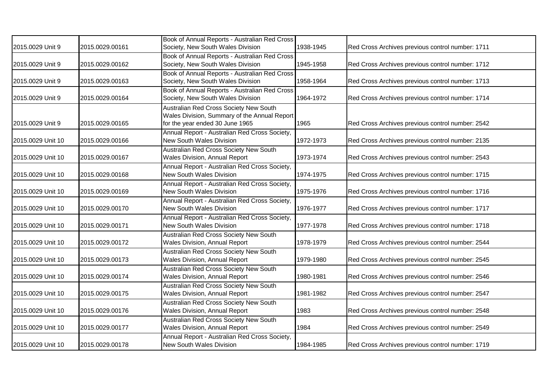| 2015.0029 Unit 9  | 2015.0029.00161 | Book of Annual Reports - Australian Red Cross<br>Society, New South Wales Division                                        | 1938-1945 | Red Cross Archives previous control number: 1711 |
|-------------------|-----------------|---------------------------------------------------------------------------------------------------------------------------|-----------|--------------------------------------------------|
| 2015.0029 Unit 9  | 2015.0029.00162 | Book of Annual Reports - Australian Red Cross<br>Society, New South Wales Division                                        | 1945-1958 | Red Cross Archives previous control number: 1712 |
| 2015.0029 Unit 9  | 2015.0029.00163 | Book of Annual Reports - Australian Red Cross<br>Society, New South Wales Division                                        | 1958-1964 | Red Cross Archives previous control number: 1713 |
| 2015.0029 Unit 9  | 2015.0029.00164 | Book of Annual Reports - Australian Red Cross<br>Society, New South Wales Division                                        | 1964-1972 | Red Cross Archives previous control number: 1714 |
| 2015.0029 Unit 9  | 2015.0029.00165 | Australian Red Cross Society New South<br>Wales Division, Summary of the Annual Report<br>for the year ended 30 June 1965 | 1965      | Red Cross Archives previous control number: 2542 |
| 2015.0029 Unit 10 | 2015.0029.00166 | Annual Report - Australian Red Cross Society,<br>New South Wales Division                                                 | 1972-1973 | Red Cross Archives previous control number: 2135 |
| 2015.0029 Unit 10 | 2015.0029.00167 | Australian Red Cross Society New South<br>Wales Division, Annual Report                                                   | 1973-1974 | Red Cross Archives previous control number: 2543 |
| 2015.0029 Unit 10 | 2015.0029.00168 | Annual Report - Australian Red Cross Society,<br>New South Wales Division                                                 | 1974-1975 | Red Cross Archives previous control number: 1715 |
| 2015.0029 Unit 10 | 2015.0029.00169 | Annual Report - Australian Red Cross Society,<br>New South Wales Division                                                 | 1975-1976 | Red Cross Archives previous control number: 1716 |
| 2015.0029 Unit 10 | 2015.0029.00170 | Annual Report - Australian Red Cross Society,<br><b>New South Wales Division</b>                                          | 1976-1977 | Red Cross Archives previous control number: 1717 |
| 2015.0029 Unit 10 | 2015.0029.00171 | Annual Report - Australian Red Cross Society,<br><b>New South Wales Division</b>                                          | 1977-1978 | Red Cross Archives previous control number: 1718 |
| 2015.0029 Unit 10 | 2015.0029.00172 | Australian Red Cross Society New South<br>Wales Division, Annual Report                                                   | 1978-1979 | Red Cross Archives previous control number: 2544 |
| 2015.0029 Unit 10 | 2015.0029.00173 | Australian Red Cross Society New South<br><b>Wales Division, Annual Report</b>                                            | 1979-1980 | Red Cross Archives previous control number: 2545 |
| 2015.0029 Unit 10 | 2015.0029.00174 | Australian Red Cross Society New South<br>Wales Division, Annual Report                                                   | 1980-1981 | Red Cross Archives previous control number: 2546 |
| 2015.0029 Unit 10 | 2015.0029.00175 | Australian Red Cross Society New South<br><b>Wales Division, Annual Report</b>                                            | 1981-1982 | Red Cross Archives previous control number: 2547 |
| 2015.0029 Unit 10 | 2015.0029.00176 | Australian Red Cross Society New South<br><b>Wales Division, Annual Report</b>                                            | 1983      | Red Cross Archives previous control number: 2548 |
| 2015.0029 Unit 10 | 2015.0029.00177 | Australian Red Cross Society New South<br><b>Wales Division, Annual Report</b>                                            | 1984      | Red Cross Archives previous control number: 2549 |
| 2015.0029 Unit 10 | 2015.0029.00178 | Annual Report - Australian Red Cross Society,<br>New South Wales Division                                                 | 1984-1985 | Red Cross Archives previous control number: 1719 |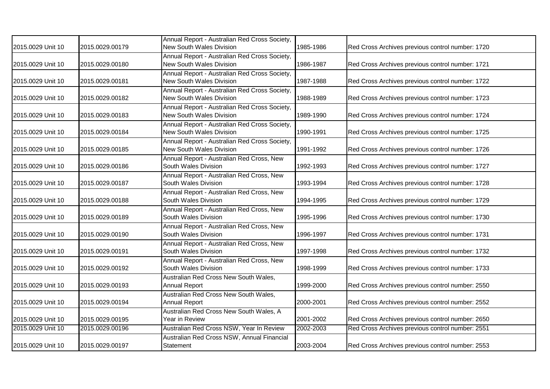| 2015.0029 Unit 10 | 2015.0029.00179 | Annual Report - Australian Red Cross Society,<br>New South Wales Division | 1985-1986 | Red Cross Archives previous control number: 1720 |
|-------------------|-----------------|---------------------------------------------------------------------------|-----------|--------------------------------------------------|
| 2015.0029 Unit 10 | 2015.0029.00180 | Annual Report - Australian Red Cross Society,<br>New South Wales Division | 1986-1987 | Red Cross Archives previous control number: 1721 |
| 2015.0029 Unit 10 | 2015.0029.00181 | Annual Report - Australian Red Cross Society,<br>New South Wales Division | 1987-1988 | Red Cross Archives previous control number: 1722 |
| 2015.0029 Unit 10 | 2015.0029.00182 | Annual Report - Australian Red Cross Society,<br>New South Wales Division | 1988-1989 | Red Cross Archives previous control number: 1723 |
| 2015.0029 Unit 10 | 2015.0029.00183 | Annual Report - Australian Red Cross Society,<br>New South Wales Division | 1989-1990 | Red Cross Archives previous control number: 1724 |
| 2015.0029 Unit 10 | 2015.0029.00184 | Annual Report - Australian Red Cross Society,<br>New South Wales Division | 1990-1991 | Red Cross Archives previous control number: 1725 |
| 2015.0029 Unit 10 | 2015.0029.00185 | Annual Report - Australian Red Cross Society,<br>New South Wales Division | 1991-1992 | Red Cross Archives previous control number: 1726 |
| 2015.0029 Unit 10 | 2015.0029.00186 | Annual Report - Australian Red Cross, New<br>South Wales Division         | 1992-1993 | Red Cross Archives previous control number: 1727 |
| 2015.0029 Unit 10 | 2015.0029.00187 | Annual Report - Australian Red Cross, New<br>South Wales Division         | 1993-1994 | Red Cross Archives previous control number: 1728 |
| 2015.0029 Unit 10 | 2015.0029.00188 | Annual Report - Australian Red Cross, New<br>South Wales Division         | 1994-1995 | Red Cross Archives previous control number: 1729 |
| 2015.0029 Unit 10 | 2015.0029.00189 | Annual Report - Australian Red Cross, New<br>South Wales Division         | 1995-1996 | Red Cross Archives previous control number: 1730 |
| 2015.0029 Unit 10 | 2015.0029.00190 | Annual Report - Australian Red Cross, New<br>South Wales Division         | 1996-1997 | Red Cross Archives previous control number: 1731 |
| 2015.0029 Unit 10 | 2015.0029.00191 | Annual Report - Australian Red Cross, New<br>South Wales Division         | 1997-1998 | Red Cross Archives previous control number: 1732 |
| 2015.0029 Unit 10 | 2015.0029.00192 | Annual Report - Australian Red Cross, New<br>South Wales Division         | 1998-1999 | Red Cross Archives previous control number: 1733 |
| 2015.0029 Unit 10 | 2015.0029.00193 | Australian Red Cross New South Wales,<br><b>Annual Report</b>             | 1999-2000 | Red Cross Archives previous control number: 2550 |
| 2015.0029 Unit 10 | 2015.0029.00194 | Australian Red Cross New South Wales,<br><b>Annual Report</b>             | 2000-2001 | Red Cross Archives previous control number: 2552 |
| 2015.0029 Unit 10 | 2015.0029.00195 | Australian Red Cross New South Wales, A<br>Year in Review                 | 2001-2002 | Red Cross Archives previous control number: 2650 |
| 2015.0029 Unit 10 | 2015.0029.00196 | Australian Red Cross NSW, Year In Review                                  | 2002-2003 | Red Cross Archives previous control number: 2551 |
| 2015.0029 Unit 10 | 2015.0029.00197 | Australian Red Cross NSW, Annual Financial<br>Statement                   | 2003-2004 | Red Cross Archives previous control number: 2553 |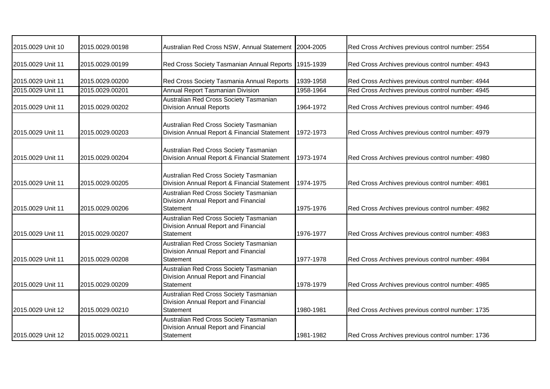| 2015.0029 Unit 10 | 2015.0029.00198 | Australian Red Cross NSW, Annual Statement 2004-2005                                               |           | Red Cross Archives previous control number: 2554 |
|-------------------|-----------------|----------------------------------------------------------------------------------------------------|-----------|--------------------------------------------------|
| 2015.0029 Unit 11 | 2015.0029.00199 | Red Cross Society Tasmanian Annual Reports   1915-1939                                             |           | Red Cross Archives previous control number: 4943 |
| 2015.0029 Unit 11 | 2015.0029.00200 | Red Cross Society Tasmania Annual Reports                                                          | 1939-1958 | Red Cross Archives previous control number: 4944 |
| 2015.0029 Unit 11 | 2015.0029.00201 | Annual Report Tasmanian Division                                                                   | 1958-1964 | Red Cross Archives previous control number: 4945 |
| 2015.0029 Unit 11 | 2015.0029.00202 | Australian Red Cross Society Tasmanian<br><b>Division Annual Reports</b>                           | 1964-1972 | Red Cross Archives previous control number: 4946 |
| 2015.0029 Unit 11 | 2015.0029.00203 | Australian Red Cross Society Tasmanian<br>Division Annual Report & Financial Statement             | 1972-1973 | Red Cross Archives previous control number: 4979 |
| 2015.0029 Unit 11 | 2015.0029.00204 | Australian Red Cross Society Tasmanian<br>Division Annual Report & Financial Statement             | 1973-1974 | Red Cross Archives previous control number: 4980 |
| 2015.0029 Unit 11 | 2015.0029.00205 | Australian Red Cross Society Tasmanian<br>Division Annual Report & Financial Statement             | 1974-1975 | Red Cross Archives previous control number: 4981 |
| 2015.0029 Unit 11 | 2015.0029.00206 | Australian Red Cross Society Tasmanian<br>Division Annual Report and Financial<br><b>Statement</b> | 1975-1976 | Red Cross Archives previous control number: 4982 |
| 2015.0029 Unit 11 | 2015.0029.00207 | Australian Red Cross Society Tasmanian<br>Division Annual Report and Financial<br>Statement        | 1976-1977 | Red Cross Archives previous control number: 4983 |
| 2015.0029 Unit 11 | 2015.0029.00208 | Australian Red Cross Society Tasmanian<br>Division Annual Report and Financial<br>Statement        | 1977-1978 | Red Cross Archives previous control number: 4984 |
| 2015.0029 Unit 11 | 2015.0029.00209 | Australian Red Cross Society Tasmanian<br>Division Annual Report and Financial<br>Statement        | 1978-1979 | Red Cross Archives previous control number: 4985 |
| 2015.0029 Unit 12 | 2015.0029.00210 | Australian Red Cross Society Tasmanian<br>Division Annual Report and Financial<br><b>Statement</b> | 1980-1981 | Red Cross Archives previous control number: 1735 |
| 2015.0029 Unit 12 | 2015.0029.00211 | Australian Red Cross Society Tasmanian<br>Division Annual Report and Financial<br>Statement        | 1981-1982 | Red Cross Archives previous control number: 1736 |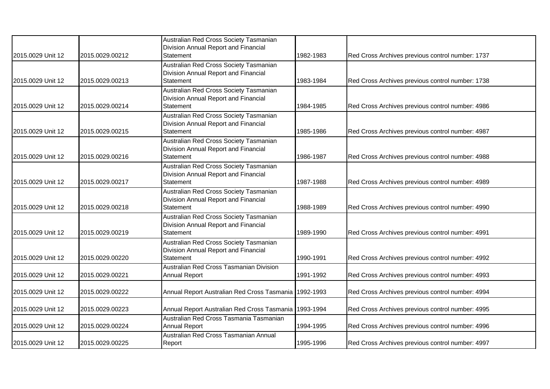|                   |                 | Australian Red Cross Society Tasmanian<br>Division Annual Report and Financial                     |           |                                                  |
|-------------------|-----------------|----------------------------------------------------------------------------------------------------|-----------|--------------------------------------------------|
| 2015.0029 Unit 12 | 2015.0029.00212 | Statement                                                                                          | 1982-1983 | Red Cross Archives previous control number: 1737 |
| 2015.0029 Unit 12 | 2015.0029.00213 | Australian Red Cross Society Tasmanian<br>Division Annual Report and Financial<br><b>Statement</b> | 1983-1984 | Red Cross Archives previous control number: 1738 |
| 2015.0029 Unit 12 | 2015.0029.00214 | Australian Red Cross Society Tasmanian<br>Division Annual Report and Financial<br>Statement        | 1984-1985 | Red Cross Archives previous control number: 4986 |
|                   |                 | Australian Red Cross Society Tasmanian<br>Division Annual Report and Financial                     |           |                                                  |
| 2015.0029 Unit 12 | 2015.0029.00215 | Statement<br>Australian Red Cross Society Tasmanian                                                | 1985-1986 | Red Cross Archives previous control number: 4987 |
| 2015.0029 Unit 12 | 2015.0029.00216 | Division Annual Report and Financial<br><b>Statement</b>                                           | 1986-1987 | Red Cross Archives previous control number: 4988 |
| 2015.0029 Unit 12 | 2015.0029.00217 | Australian Red Cross Society Tasmanian<br>Division Annual Report and Financial<br><b>Statement</b> | 1987-1988 | Red Cross Archives previous control number: 4989 |
| 2015.0029 Unit 12 | 2015.0029.00218 | Australian Red Cross Society Tasmanian<br>Division Annual Report and Financial<br>Statement        | 1988-1989 | Red Cross Archives previous control number: 4990 |
| 2015.0029 Unit 12 | 2015.0029.00219 | Australian Red Cross Society Tasmanian<br>Division Annual Report and Financial<br><b>Statement</b> | 1989-1990 | Red Cross Archives previous control number: 4991 |
| 2015.0029 Unit 12 | 2015.0029.00220 | Australian Red Cross Society Tasmanian<br>Division Annual Report and Financial<br><b>Statement</b> | 1990-1991 | Red Cross Archives previous control number: 4992 |
| 2015.0029 Unit 12 | 2015.0029.00221 | Australian Red Cross Tasmanian Division<br><b>Annual Report</b>                                    | 1991-1992 | Red Cross Archives previous control number: 4993 |
| 2015.0029 Unit 12 | 2015.0029.00222 | Annual Report Australian Red Cross Tasmania   1992-1993                                            |           | Red Cross Archives previous control number: 4994 |
| 2015.0029 Unit 12 | 2015.0029.00223 | Annual Report Australian Red Cross Tasmania   1993-1994                                            |           | Red Cross Archives previous control number: 4995 |
| 2015.0029 Unit 12 | 2015.0029.00224 | Australian Red Cross Tasmania Tasmanian<br><b>Annual Report</b>                                    | 1994-1995 | Red Cross Archives previous control number: 4996 |
| 2015.0029 Unit 12 | 2015.0029.00225 | Australian Red Cross Tasmanian Annual<br>Report                                                    | 1995-1996 | Red Cross Archives previous control number: 4997 |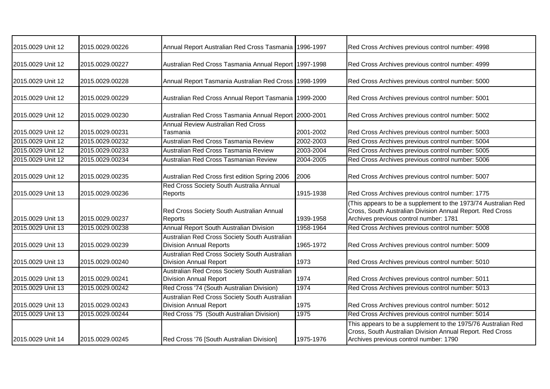| 2015.0029 Unit 12 | 2015.0029.00226 | Annual Report Australian Red Cross Tasmania   1996-1997                         |           | Red Cross Archives previous control number: 4998                                                                                                                      |
|-------------------|-----------------|---------------------------------------------------------------------------------|-----------|-----------------------------------------------------------------------------------------------------------------------------------------------------------------------|
| 2015.0029 Unit 12 | 2015.0029.00227 | Australian Red Cross Tasmania Annual Report 1997-1998                           |           | Red Cross Archives previous control number: 4999                                                                                                                      |
| 2015.0029 Unit 12 | 2015.0029.00228 | Annual Report Tasmania Australian Red Cross   1998-1999                         |           | Red Cross Archives previous control number: 5000                                                                                                                      |
| 2015.0029 Unit 12 | 2015.0029.00229 | Australian Red Cross Annual Report Tasmania   1999-2000                         |           | Red Cross Archives previous control number: 5001                                                                                                                      |
| 2015.0029 Unit 12 | 2015.0029.00230 | Australian Red Cross Tasmania Annual Report 2000-2001                           |           | Red Cross Archives previous control number: 5002                                                                                                                      |
| 2015.0029 Unit 12 | 2015.0029.00231 | <b>Annual Review Australian Red Cross</b><br>Tasmania                           | 2001-2002 | Red Cross Archives previous control number: 5003                                                                                                                      |
| 2015.0029 Unit 12 | 2015.0029.00232 | Australian Red Cross Tasmania Review                                            | 2002-2003 | Red Cross Archives previous control number: 5004                                                                                                                      |
| 2015.0029 Unit 12 | 2015.0029.00233 | Australian Red Cross Tasmania Review                                            | 2003-2004 | Red Cross Archives previous control number: 5005                                                                                                                      |
| 2015.0029 Unit 12 | 2015.0029.00234 | Australian Red Cross Tasmanian Review                                           | 2004-2005 | Red Cross Archives previous control number: 5006                                                                                                                      |
| 2015.0029 Unit 12 | 2015.0029.00235 | Australian Red Cross first edition Spring 2006                                  | 2006      | Red Cross Archives previous control number: 5007                                                                                                                      |
| 2015.0029 Unit 13 | 2015.0029.00236 | Red Cross Society South Australia Annual<br><b>Reports</b>                      | 1915-1938 | Red Cross Archives previous control number: 1775                                                                                                                      |
| 2015.0029 Unit 13 | 2015.0029.00237 | Red Cross Society South Australian Annual<br>Reports                            | 1939-1958 | (This appears to be a supplement to the 1973/74 Australian Red<br>Cross, South Australian Division Annual Report. Red Cross<br>Archives previous control number: 1781 |
| 2015.0029 Unit 13 | 2015.0029.00238 | Annual Report South Australian Division                                         | 1958-1964 | Red Cross Archives previous control number: 5008                                                                                                                      |
| 2015.0029 Unit 13 | 2015.0029.00239 | Australian Red Cross Society South Australian<br><b>Division Annual Reports</b> | 1965-1972 | Red Cross Archives previous control number: 5009                                                                                                                      |
| 2015.0029 Unit 13 | 2015.0029.00240 | Australian Red Cross Society South Australian<br><b>Division Annual Report</b>  | 1973      | Red Cross Archives previous control number: 5010                                                                                                                      |
| 2015.0029 Unit 13 | 2015.0029.00241 | Australian Red Cross Society South Australian<br><b>Division Annual Report</b>  | 1974      | Red Cross Archives previous control number: 5011                                                                                                                      |
| 2015.0029 Unit 13 | 2015.0029.00242 | Red Cross '74 (South Australian Division)                                       | 1974      | Red Cross Archives previous control number: 5013                                                                                                                      |
| 2015.0029 Unit 13 | 2015.0029.00243 | Australian Red Cross Society South Australian<br><b>Division Annual Report</b>  | 1975      | Red Cross Archives previous control number: 5012                                                                                                                      |
| 2015.0029 Unit 13 | 2015.0029.00244 | Red Cross '75 (South Australian Division)                                       | 1975      | Red Cross Archives previous control number: 5014                                                                                                                      |
| 2015.0029 Unit 14 | 2015.0029.00245 | Red Cross '76 [South Australian Division]                                       | 1975-1976 | This appears to be a supplement to the 1975/76 Australian Red<br>Cross, South Australian Division Annual Report. Red Cross<br>Archives previous control number: 1790  |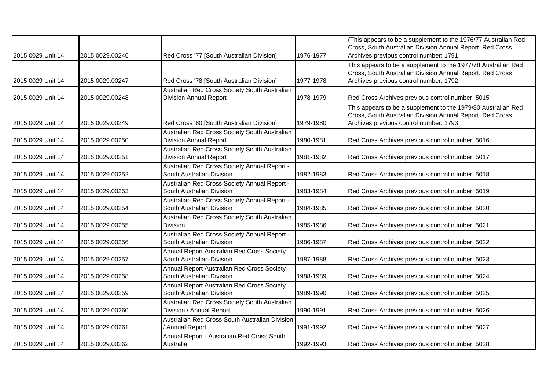| 2015.0029 Unit 14 | 2015.0029.00246 | Red Cross '77 [South Australian Division]                                      | 1976-1977 | (This appears to be a supplement to the 1976/77 Australian Red<br>Cross, South Australian Division Annual Report. Red Cross<br>Archives previous control number: 1791 |
|-------------------|-----------------|--------------------------------------------------------------------------------|-----------|-----------------------------------------------------------------------------------------------------------------------------------------------------------------------|
| 2015.0029 Unit 14 | 2015.0029.00247 | Red Cross '78 [South Australian Division]                                      | 1977-1978 | This appears to be a supplement to the 1977/78 Australian Red<br>Cross, South Australian Division Annual Report. Red Cross<br>Archives previous control number: 1792  |
| 2015.0029 Unit 14 | 2015.0029.00248 | Australian Red Cross Society South Australian<br><b>Division Annual Report</b> | 1978-1979 | Red Cross Archives previous control number: 5015                                                                                                                      |
| 2015.0029 Unit 14 | 2015.0029.00249 | Red Cross '80 [South Australian Division]                                      | 1979-1980 | This appears to be a supplement to the 1979/80 Australian Red<br>Cross, South Australian Division Annual Report. Red Cross<br>Archives previous control number: 1793  |
| 2015.0029 Unit 14 | 2015.0029.00250 | Australian Red Cross Society South Australian<br><b>Division Annual Report</b> | 1980-1981 | Red Cross Archives previous control number: 5016                                                                                                                      |
| 2015.0029 Unit 14 | 2015.0029.00251 | Australian Red Cross Society South Australian<br><b>Division Annual Report</b> | 1981-1982 | Red Cross Archives previous control number: 5017                                                                                                                      |
| 2015.0029 Unit 14 | 2015.0029.00252 | Australian Red Cross Society Annual Report -<br>South Australian Division      | 1982-1983 | Red Cross Archives previous control number: 5018                                                                                                                      |
| 2015.0029 Unit 14 | 2015.0029.00253 | Australian Red Cross Society Annual Report -<br>South Australian Division      | 1983-1984 | Red Cross Archives previous control number: 5019                                                                                                                      |
| 2015.0029 Unit 14 | 2015.0029.00254 | Australian Red Cross Society Annual Report -<br>South Australian Division      | 1984-1985 | Red Cross Archives previous control number: 5020                                                                                                                      |
| 2015.0029 Unit 14 | 2015.0029.00255 | Australian Red Cross Society South Australian<br><b>Division</b>               | 1985-1986 | Red Cross Archives previous control number: 5021                                                                                                                      |
| 2015.0029 Unit 14 | 2015.0029.00256 | Australian Red Cross Society Annual Report -<br>South Australian Division      | 1986-1987 | Red Cross Archives previous control number: 5022                                                                                                                      |
| 2015.0029 Unit 14 | 2015.0029.00257 | Annual Report Australian Red Cross Society<br>South Australian Division        | 1987-1988 | Red Cross Archives previous control number: 5023                                                                                                                      |
| 2015.0029 Unit 14 | 2015.0029.00258 | Annual Report Australian Red Cross Society<br>South Australian Division        | 1988-1989 | Red Cross Archives previous control number: 5024                                                                                                                      |
| 2015.0029 Unit 14 | 2015.0029.00259 | Annual Report Australian Red Cross Society<br>South Australian Division        | 1989-1990 | Red Cross Archives previous control number: 5025                                                                                                                      |
| 2015.0029 Unit 14 | 2015.0029.00260 | Australian Red Cross Society South Australian<br>Division / Annual Report      | 1990-1991 | Red Cross Archives previous control number: 5026                                                                                                                      |
| 2015.0029 Unit 14 | 2015.0029.00261 | Australian Red Cross South Australian Division<br>Annual Report                | 1991-1992 | Red Cross Archives previous control number: 5027                                                                                                                      |
| 2015.0029 Unit 14 | 2015.0029.00262 | Annual Report - Australian Red Cross South<br>Australia                        | 1992-1993 | Red Cross Archives previous control number: 5028                                                                                                                      |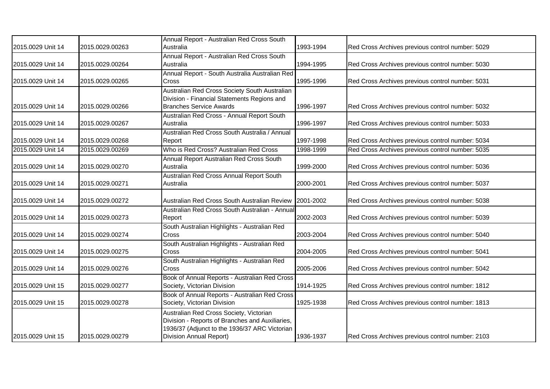|                   |                 | Annual Report - Australian Red Cross South      |           |                                                  |
|-------------------|-----------------|-------------------------------------------------|-----------|--------------------------------------------------|
| 2015.0029 Unit 14 | 2015.0029.00263 | Australia                                       | 1993-1994 | Red Cross Archives previous control number: 5029 |
|                   |                 | Annual Report - Australian Red Cross South      |           |                                                  |
| 2015.0029 Unit 14 | 2015.0029.00264 | Australia                                       | 1994-1995 | Red Cross Archives previous control number: 5030 |
|                   |                 | Annual Report - South Australia Australian Red  |           |                                                  |
| 2015.0029 Unit 14 | 2015.0029.00265 | Cross                                           | 1995-1996 | Red Cross Archives previous control number: 5031 |
|                   |                 | Australian Red Cross Society South Australian   |           |                                                  |
|                   |                 | Division - Financial Statements Regions and     |           |                                                  |
| 2015.0029 Unit 14 | 2015.0029.00266 | <b>Branches Service Awards</b>                  | 1996-1997 | Red Cross Archives previous control number: 5032 |
|                   |                 | Australian Red Cross - Annual Report South      |           |                                                  |
| 2015.0029 Unit 14 | 2015.0029.00267 | Australia                                       | 1996-1997 | Red Cross Archives previous control number: 5033 |
|                   |                 | Australian Red Cross South Australia / Annual   |           |                                                  |
| 2015.0029 Unit 14 | 2015.0029.00268 | Report                                          | 1997-1998 | Red Cross Archives previous control number: 5034 |
| 2015.0029 Unit 14 | 2015.0029.00269 | Who is Red Cross? Australian Red Cross          | 1998-1999 | Red Cross Archives previous control number: 5035 |
|                   |                 | Annual Report Australian Red Cross South        |           |                                                  |
| 2015.0029 Unit 14 | 2015.0029.00270 | Australia                                       | 1999-2000 | Red Cross Archives previous control number: 5036 |
|                   |                 | Australian Red Cross Annual Report South        |           |                                                  |
| 2015.0029 Unit 14 | 2015.0029.00271 | Australia                                       | 2000-2001 | Red Cross Archives previous control number: 5037 |
|                   |                 |                                                 |           |                                                  |
| 2015.0029 Unit 14 | 2015.0029.00272 | Australian Red Cross South Australian Review    | 2001-2002 | Red Cross Archives previous control number: 5038 |
|                   |                 | Australian Red Cross South Australian - Annual  |           |                                                  |
| 2015.0029 Unit 14 | 2015.0029.00273 | Report                                          | 2002-2003 | Red Cross Archives previous control number: 5039 |
|                   |                 | South Australian Highlights - Australian Red    |           |                                                  |
| 2015.0029 Unit 14 | 2015.0029.00274 | Cross                                           | 2003-2004 | Red Cross Archives previous control number: 5040 |
|                   |                 | South Australian Highlights - Australian Red    |           |                                                  |
| 2015.0029 Unit 14 | 2015.0029.00275 | Cross                                           | 2004-2005 | Red Cross Archives previous control number: 5041 |
|                   |                 | South Australian Highlights - Australian Red    |           |                                                  |
| 2015.0029 Unit 14 | 2015.0029.00276 | Cross                                           | 2005-2006 | Red Cross Archives previous control number: 5042 |
|                   |                 | Book of Annual Reports - Australian Red Cross   |           |                                                  |
| 2015.0029 Unit 15 | 2015.0029.00277 | Society, Victorian Division                     | 1914-1925 | Red Cross Archives previous control number: 1812 |
|                   |                 | Book of Annual Reports - Australian Red Cross   |           |                                                  |
| 2015.0029 Unit 15 | 2015.0029.00278 | Society, Victorian Division                     | 1925-1938 | Red Cross Archives previous control number: 1813 |
|                   |                 | Australian Red Cross Society, Victorian         |           |                                                  |
|                   |                 | Division - Reports of Branches and Auxiliaries, |           |                                                  |
|                   |                 | 1936/37 (Adjunct to the 1936/37 ARC Victorian   |           |                                                  |
| 2015.0029 Unit 15 | 2015.0029.00279 | Division Annual Report)                         | 1936-1937 | Red Cross Archives previous control number: 2103 |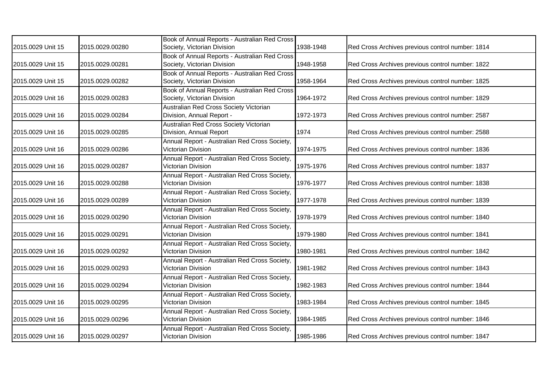| 2015.0029 Unit 15 | 2015.0029.00280 | Book of Annual Reports - Australian Red Cross<br>Society, Victorian Division | 1938-1948 | Red Cross Archives previous control number: 1814 |
|-------------------|-----------------|------------------------------------------------------------------------------|-----------|--------------------------------------------------|
| 2015.0029 Unit 15 | 2015.0029.00281 | Book of Annual Reports - Australian Red Cross<br>Society, Victorian Division | 1948-1958 | Red Cross Archives previous control number: 1822 |
| 2015.0029 Unit 15 | 2015.0029.00282 | Book of Annual Reports - Australian Red Cross<br>Society, Victorian Division | 1958-1964 | Red Cross Archives previous control number: 1825 |
| 2015.0029 Unit 16 | 2015.0029.00283 | Book of Annual Reports - Australian Red Cross<br>Society, Victorian Division | 1964-1972 | Red Cross Archives previous control number: 1829 |
| 2015.0029 Unit 16 | 2015.0029.00284 | Australian Red Cross Society Victorian<br>Division, Annual Report -          | 1972-1973 | Red Cross Archives previous control number: 2587 |
| 2015.0029 Unit 16 | 2015.0029.00285 | Australian Red Cross Society Victorian<br>Division, Annual Report            | 1974      | Red Cross Archives previous control number: 2588 |
| 2015.0029 Unit 16 | 2015.0029.00286 | Annual Report - Australian Red Cross Society,<br>Victorian Division          | 1974-1975 | Red Cross Archives previous control number: 1836 |
| 2015.0029 Unit 16 | 2015.0029.00287 | Annual Report - Australian Red Cross Society,<br>Victorian Division          | 1975-1976 | Red Cross Archives previous control number: 1837 |
| 2015.0029 Unit 16 | 2015.0029.00288 | Annual Report - Australian Red Cross Society,<br>Victorian Division          | 1976-1977 | Red Cross Archives previous control number: 1838 |
| 2015.0029 Unit 16 | 2015.0029.00289 | Annual Report - Australian Red Cross Society,<br>Victorian Division          | 1977-1978 | Red Cross Archives previous control number: 1839 |
| 2015.0029 Unit 16 | 2015.0029.00290 | Annual Report - Australian Red Cross Society,<br>Victorian Division          | 1978-1979 | Red Cross Archives previous control number: 1840 |
| 2015.0029 Unit 16 | 2015.0029.00291 | Annual Report - Australian Red Cross Society,<br>Victorian Division          | 1979-1980 | Red Cross Archives previous control number: 1841 |
| 2015.0029 Unit 16 | 2015.0029.00292 | Annual Report - Australian Red Cross Society,<br>Victorian Division          | 1980-1981 | Red Cross Archives previous control number: 1842 |
| 2015.0029 Unit 16 | 2015.0029.00293 | Annual Report - Australian Red Cross Society,<br>Victorian Division          | 1981-1982 | Red Cross Archives previous control number: 1843 |
| 2015.0029 Unit 16 | 2015.0029.00294 | Annual Report - Australian Red Cross Society,<br>Victorian Division          | 1982-1983 | Red Cross Archives previous control number: 1844 |
| 2015.0029 Unit 16 | 2015.0029.00295 | Annual Report - Australian Red Cross Society,<br>Victorian Division          | 1983-1984 | Red Cross Archives previous control number: 1845 |
| 2015.0029 Unit 16 | 2015.0029.00296 | Annual Report - Australian Red Cross Society,<br>Victorian Division          | 1984-1985 | Red Cross Archives previous control number: 1846 |
| 2015.0029 Unit 16 | 2015.0029.00297 | Annual Report - Australian Red Cross Society,<br>Victorian Division          | 1985-1986 | Red Cross Archives previous control number: 1847 |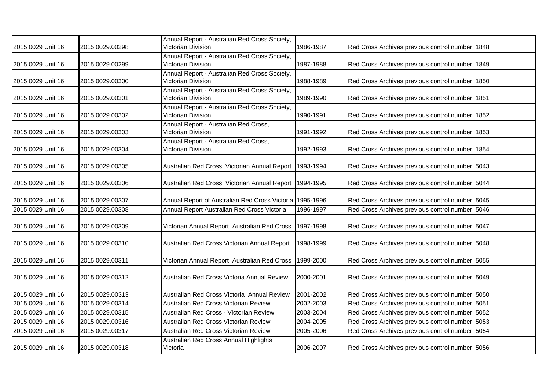| 2015.0029 Unit 16 | 2015.0029.00298 | Annual Report - Australian Red Cross Society,<br>Victorian Division | 1986-1987 | Red Cross Archives previous control number: 1848 |
|-------------------|-----------------|---------------------------------------------------------------------|-----------|--------------------------------------------------|
| 2015.0029 Unit 16 | 2015.0029.00299 | Annual Report - Australian Red Cross Society,<br>Victorian Division | 1987-1988 | Red Cross Archives previous control number: 1849 |
| 2015.0029 Unit 16 | 2015.0029.00300 | Annual Report - Australian Red Cross Society,<br>Victorian Division | 1988-1989 | Red Cross Archives previous control number: 1850 |
| 2015.0029 Unit 16 | 2015.0029.00301 | Annual Report - Australian Red Cross Society,<br>Victorian Division | 1989-1990 | Red Cross Archives previous control number: 1851 |
| 2015.0029 Unit 16 | 2015.0029.00302 | Annual Report - Australian Red Cross Society,<br>Victorian Division | 1990-1991 | Red Cross Archives previous control number: 1852 |
| 2015.0029 Unit 16 | 2015.0029.00303 | Annual Report - Australian Red Cross,<br>Victorian Division         | 1991-1992 | Red Cross Archives previous control number: 1853 |
| 2015.0029 Unit 16 | 2015.0029.00304 | Annual Report - Australian Red Cross,<br>Victorian Division         | 1992-1993 | Red Cross Archives previous control number: 1854 |
| 2015.0029 Unit 16 | 2015.0029.00305 | Australian Red Cross Victorian Annual Report                        | 1993-1994 | Red Cross Archives previous control number: 5043 |
| 2015.0029 Unit 16 | 2015.0029.00306 | Australian Red Cross Victorian Annual Report                        | 1994-1995 | Red Cross Archives previous control number: 5044 |
| 2015.0029 Unit 16 | 2015.0029.00307 | Annual Report of Australian Red Cross Victoria 1995-1996            |           | Red Cross Archives previous control number: 5045 |
| 2015.0029 Unit 16 | 2015.0029.00308 | Annual Report Australian Red Cross Victoria                         | 1996-1997 | Red Cross Archives previous control number: 5046 |
| 2015.0029 Unit 16 | 2015.0029.00309 | Victorian Annual Report Australian Red Cross                        | 1997-1998 | Red Cross Archives previous control number: 5047 |
| 2015.0029 Unit 16 | 2015.0029.00310 | Australian Red Cross Victorian Annual Report                        | 1998-1999 | Red Cross Archives previous control number: 5048 |
| 2015.0029 Unit 16 | 2015.0029.00311 | Victorian Annual Report Australian Red Cross                        | 1999-2000 | Red Cross Archives previous control number: 5055 |
| 2015.0029 Unit 16 | 2015.0029.00312 | Australian Red Cross Victoria Annual Review                         | 2000-2001 | Red Cross Archives previous control number: 5049 |
| 2015.0029 Unit 16 | 2015.0029.00313 | Australian Red Cross Victoria Annual Review                         | 2001-2002 | Red Cross Archives previous control number: 5050 |
| 2015.0029 Unit 16 | 2015.0029.00314 | Australian Red Cross Victorian Review                               | 2002-2003 | Red Cross Archives previous control number: 5051 |
| 2015.0029 Unit 16 | 2015.0029.00315 | Australian Red Cross - Victorian Review                             | 2003-2004 | Red Cross Archives previous control number: 5052 |
| 2015.0029 Unit 16 | 2015.0029.00316 | Australian Red Cross Victorian Review                               | 2004-2005 | Red Cross Archives previous control number: 5053 |
| 2015.0029 Unit 16 | 2015.0029.00317 | Australian Red Cross Victorian Review                               | 2005-2006 | Red Cross Archives previous control number: 5054 |
| 2015.0029 Unit 16 | 2015.0029.00318 | Australian Red Cross Annual Highlights<br>Victoria                  | 2006-2007 | Red Cross Archives previous control number: 5056 |